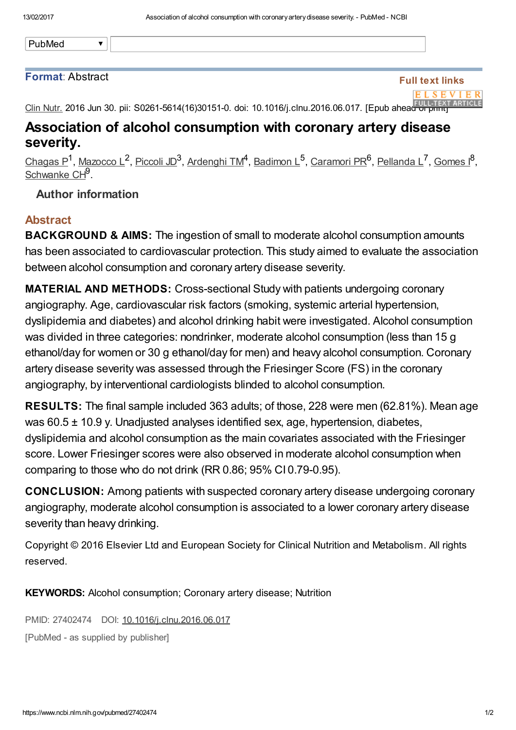PubMed

#### Format: Abstract

 $\overline{\textbf{v}}$ 

## Full text links



Clin Nutr. 2016 Jun 30. pii: S0261-5614(16)30151-0. doi: 10.1016/j.clnu.2016.06.017. [Epub ahead of [print\]](https://linkinghub.elsevier.com/retrieve/pii/S0261-5614(16)30151-0)

# Association of alcohol consumption with coronary artery disease severity.

[Chagas](https://www.ncbi.nlm.nih.gov/pubmed/?term=Chagas%20P%5BAuthor%5D&cauthor=true&cauthor_uid=27402474) P<sup>1</sup>, [Mazocco](https://www.ncbi.nlm.nih.gov/pubmed/?term=Mazocco%20L%5BAuthor%5D&cauthor=true&cauthor_uid=27402474) L<sup>2</sup>, [Piccoli](https://www.ncbi.nlm.nih.gov/pubmed/?term=Piccoli%20JD%5BAuthor%5D&cauthor=true&cauthor_uid=27402474) JD<sup>3</sup>, [Ardenghi](https://www.ncbi.nlm.nih.gov/pubmed/?term=Ardenghi%20TM%5BAuthor%5D&cauthor=true&cauthor_uid=27402474) TM<sup>4</sup>, [Badimon](https://www.ncbi.nlm.nih.gov/pubmed/?term=Badimon%20L%5BAuthor%5D&cauthor=true&cauthor_uid=27402474) L<sup>5</sup>, [Caramori](https://www.ncbi.nlm.nih.gov/pubmed/?term=Caramori%20PR%5BAuthor%5D&cauthor=true&cauthor_uid=27402474) PR<sup>6</sup>, [Pellanda](https://www.ncbi.nlm.nih.gov/pubmed/?term=Pellanda%20L%5BAuthor%5D&cauthor=true&cauthor_uid=27402474) L<sup>7</sup>, [Gomes](https://www.ncbi.nlm.nih.gov/pubmed/?term=Gomes%20I%5BAuthor%5D&cauthor=true&cauthor_uid=27402474) I<sup>8</sup>, [Schwanke](https://www.ncbi.nlm.nih.gov/pubmed/?term=Schwanke%20CH%5BAuthor%5D&cauthor=true&cauthor_uid=27402474) CH<sup>9</sup>.

### Author information

### Abstract

**BACKGROUND & AIMS:** The ingestion of small to moderate alcohol consumption amounts has been associated to cardiovascular protection. This study aimed to evaluate the association between alcohol consumption and coronary artery disease severity.

**MATERIAL AND METHODS:** Cross-sectional Study with patients undergoing coronary angiography. Age, cardiovascular risk factors (smoking, systemic arterial hypertension, dyslipidemia and diabetes) and alcohol drinking habit were investigated. Alcohol consumption was divided in three categories: nondrinker, moderate alcohol consumption (less than 15 g ethanol/day for women or 30 g ethanol/day for men) and heavy alcohol consumption. Coronary artery disease severity was assessed through the Friesinger Score (FS) in the coronary angiography, by interventional cardiologists blinded to alcohol consumption.

RESULTS: The final sample included 363 adults; of those, 228 were men (62.81%). Mean age was 60.5 ± 10.9 y. Unadjusted analyses identified sex, age, hypertension, diabetes, dyslipidemia and alcohol consumption as the main covariates associated with the Friesinger score. Lower Friesinger scores were also observed in moderate alcohol consumption when comparing to those who do not drink (RR 0.86; 95% CI 0.79-0.95).

CONCLUSION: Among patients with suspected coronary artery disease undergoing coronary angiography, moderate alcohol consumption is associated to a lower coronary artery disease severity than heavy drinking.

Copyright © 2016 Elsevier Ltd and European Society for Clinical Nutrition and Metabolism. All rights reserved.

KEYWORDS: Alcohol consumption; Coronary artery disease; Nutrition

PMID: 27402474 DOI: [10.1016/j.clnu.2016.06.017](https://dx.doi.org/10.1016/j.clnu.2016.06.017)

[PubMed - as supplied by publisher]